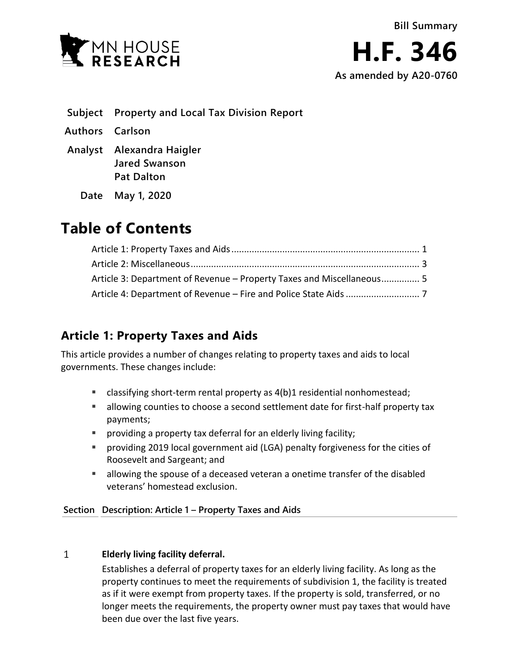

- **Subject Property and Local Tax Division Report**
- **Authors Carlson**
- **Analyst Alexandra Haigler Jared Swanson Pat Dalton**
	- **Date May 1, 2020**

# **Table of Contents**

| Article 3: Department of Revenue – Property Taxes and Miscellaneous 5 |  |
|-----------------------------------------------------------------------|--|
|                                                                       |  |

## <span id="page-0-0"></span>**Article 1: Property Taxes and Aids**

This article provides a number of changes relating to property taxes and aids to local governments. These changes include:

- classifying short-term rental property as 4(b)1 residential nonhomestead;
- allowing counties to choose a second settlement date for first-half property tax payments;
- providing a property tax deferral for an elderly living facility;
- providing 2019 local government aid (LGA) penalty forgiveness for the cities of Roosevelt and Sargeant; and
- allowing the spouse of a deceased veteran a onetime transfer of the disabled veterans' homestead exclusion.

**Section Description: Article 1 – Property Taxes and Aids**

### $\mathbf{1}$ **Elderly living facility deferral.**

Establishes a deferral of property taxes for an elderly living facility. As long as the property continues to meet the requirements of subdivision 1, the facility is treated as if it were exempt from property taxes. If the property is sold, transferred, or no longer meets the requirements, the property owner must pay taxes that would have been due over the last five years.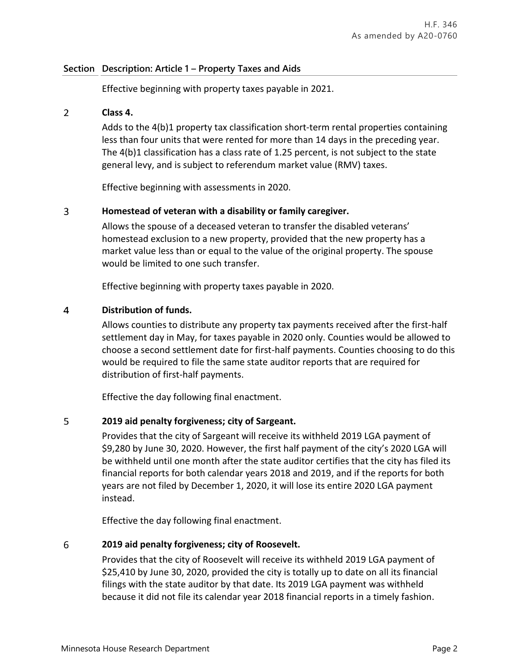## **Section Description: Article 1 – Property Taxes and Aids**

Effective beginning with property taxes payable in 2021.

### $\overline{2}$ **Class 4.**

Adds to the 4(b)1 property tax classification short-term rental properties containing less than four units that were rented for more than 14 days in the preceding year. The 4(b)1 classification has a class rate of 1.25 percent, is not subject to the state general levy, and is subject to referendum market value (RMV) taxes.

Effective beginning with assessments in 2020.

### $\overline{3}$ **Homestead of veteran with a disability or family caregiver.**

Allows the spouse of a deceased veteran to transfer the disabled veterans' homestead exclusion to a new property, provided that the new property has a market value less than or equal to the value of the original property. The spouse would be limited to one such transfer.

Effective beginning with property taxes payable in 2020.

### $\overline{4}$ **Distribution of funds.**

Allows counties to distribute any property tax payments received after the first-half settlement day in May, for taxes payable in 2020 only. Counties would be allowed to choose a second settlement date for first-half payments. Counties choosing to do this would be required to file the same state auditor reports that are required for distribution of first-half payments.

Effective the day following final enactment.

### 5 **2019 aid penalty forgiveness; city of Sargeant.**

Provides that the city of Sargeant will receive its withheld 2019 LGA payment of \$9,280 by June 30, 2020. However, the first half payment of the city's 2020 LGA will be withheld until one month after the state auditor certifies that the city has filed its financial reports for both calendar years 2018 and 2019, and if the reports for both years are not filed by December 1, 2020, it will lose its entire 2020 LGA payment instead.

Effective the day following final enactment.

### 6 **2019 aid penalty forgiveness; city of Roosevelt.**

Provides that the city of Roosevelt will receive its withheld 2019 LGA payment of \$25,410 by June 30, 2020, provided the city is totally up to date on all its financial filings with the state auditor by that date. Its 2019 LGA payment was withheld because it did not file its calendar year 2018 financial reports in a timely fashion.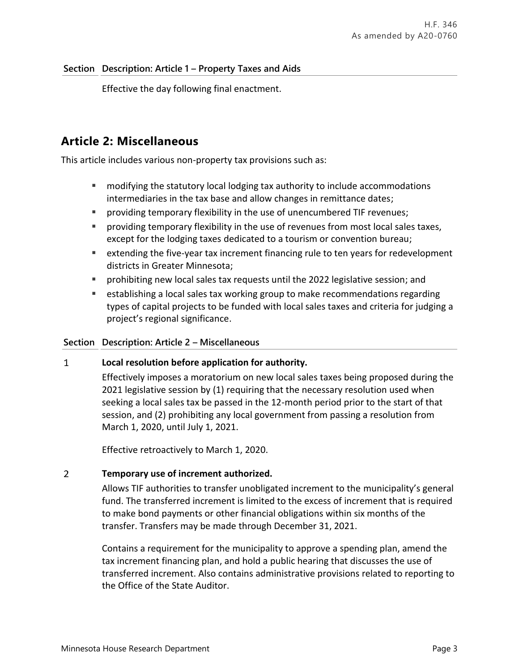## **Section Description: Article 1 – Property Taxes and Aids**

Effective the day following final enactment.

## <span id="page-2-0"></span>**Article 2: Miscellaneous**

This article includes various non-property tax provisions such as:

- modifying the statutory local lodging tax authority to include accommodations intermediaries in the tax base and allow changes in remittance dates;
- providing temporary flexibility in the use of unencumbered TIF revenues;
- providing temporary flexibility in the use of revenues from most local sales taxes, except for the lodging taxes dedicated to a tourism or convention bureau;
- extending the five-year tax increment financing rule to ten years for redevelopment districts in Greater Minnesota;
- prohibiting new local sales tax requests until the 2022 legislative session; and
- **EXECT ADDETERT FIRTH IS SET 10 ATT ADDED EXECTS** establishing a local sales tax working that is establishing a local sales tax working set all extending types of capital projects to be funded with local sales taxes and criteria for judging a project's regional significance.

## **Section Description: Article 2 – Miscellaneous**

### $\mathbf{1}$ **Local resolution before application for authority.**

Effectively imposes a moratorium on new local sales taxes being proposed during the 2021 legislative session by (1) requiring that the necessary resolution used when seeking a local sales tax be passed in the 12-month period prior to the start of that session, and (2) prohibiting any local government from passing a resolution from March 1, 2020, until July 1, 2021.

Effective retroactively to March 1, 2020.

### $\overline{2}$ **Temporary use of increment authorized.**

Allows TIF authorities to transfer unobligated increment to the municipality's general fund. The transferred increment is limited to the excess of increment that is required to make bond payments or other financial obligations within six months of the transfer. Transfers may be made through December 31, 2021.

Contains a requirement for the municipality to approve a spending plan, amend the tax increment financing plan, and hold a public hearing that discusses the use of transferred increment. Also contains administrative provisions related to reporting to the Office of the State Auditor.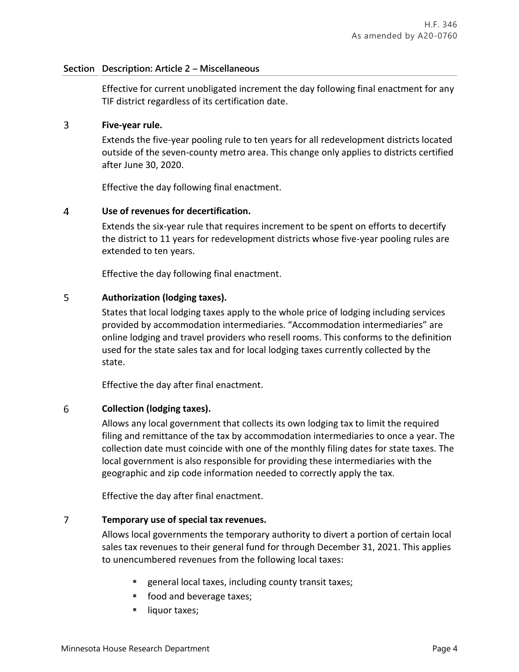## **Section Description: Article 2 – Miscellaneous**

Effective for current unobligated increment the day following final enactment for any TIF district regardless of its certification date.

### $\overline{3}$ **Five-year rule.**

Extends the five-year pooling rule to ten years for all redevelopment districts located outside of the seven-county metro area. This change only applies to districts certified after June 30, 2020.

Effective the day following final enactment.

### $\overline{4}$ **Use of revenues for decertification.**

Extends the six-year rule that requires increment to be spent on efforts to decertify the district to 11 years for redevelopment districts whose five-year pooling rules are extended to ten years.

Effective the day following final enactment.

### 5 **Authorization (lodging taxes).**

States that local lodging taxes apply to the whole price of lodging including services provided by accommodation intermediaries. "Accommodation intermediaries" are online lodging and travel providers who resell rooms. This conforms to the definition used for the state sales tax and for local lodging taxes currently collected by the state.

Effective the day after final enactment.

### 6 **Collection (lodging taxes).**

Allows any local government that collects its own lodging tax to limit the required filing and remittance of the tax by accommodation intermediaries to once a year. The collection date must coincide with one of the monthly filing dates for state taxes. The local government is also responsible for providing these intermediaries with the geographic and zip code information needed to correctly apply the tax.

Effective the day after final enactment.

### $\overline{7}$ **Temporary use of special tax revenues.**

Allows local governments the temporary authority to divert a portion of certain local sales tax revenues to their general fund for through December 31, 2021. This applies to unencumbered revenues from the following local taxes:

- general local taxes, including county transit taxes;
- food and beverage taxes;
- liquor taxes;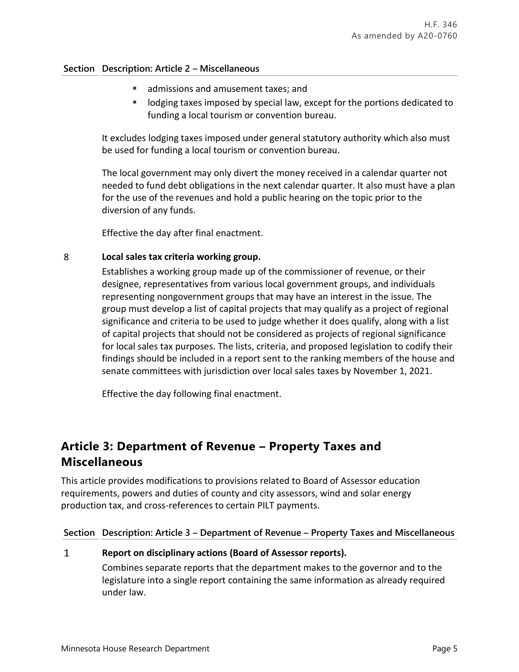## **Section Description: Article 2 – Miscellaneous**

- admissions and amusement taxes; and
- lodging taxes imposed by special law, except for the portions dedicated to funding a local tourism or convention bureau.

It excludes lodging taxes imposed under general statutory authority which also must be used for funding a local tourism or convention bureau.

The local government may only divert the money received in a calendar quarter not needed to fund debt obligations in the next calendar quarter. It also must have a plan for the use of the revenues and hold a public hearing on the topic prior to the diversion of any funds.

Effective the day after final enactment.

### 8 **Local sales tax criteria working group.**

Establishes a working group made up of the commissioner of revenue, or their designee, representatives from various local government groups, and individuals representing nongovernment groups that may have an interest in the issue. The group must develop a list of capital projects that may qualify as a project of regional significance and criteria to be used to judge whether it does qualify, along with a list of capital projects that should not be considered as projects of regional significance for local sales tax purposes. The lists, criteria, and proposed legislation to codify their findings should be included in a report sent to the ranking members of the house and senate committees with jurisdiction over local sales taxes by November 1, 2021.

Effective the day following final enactment.

## <span id="page-4-0"></span>**Article 3: Department of Revenue – Property Taxes and Miscellaneous**

This article provides modifications to provisions related to Board of Assessor education requirements, powers and duties of county and city assessors, wind and solar energy production tax, and cross-references to certain PILT payments.

## **Section Description: Article 3 – Department of Revenue – Property Taxes and Miscellaneous**

## **Report on disciplinary actions (Board of Assessor reports).**

Combines separate reports that the department makes to the governor and to the legislature into a single report containing the same information as already required under law.

 $\mathbf{1}$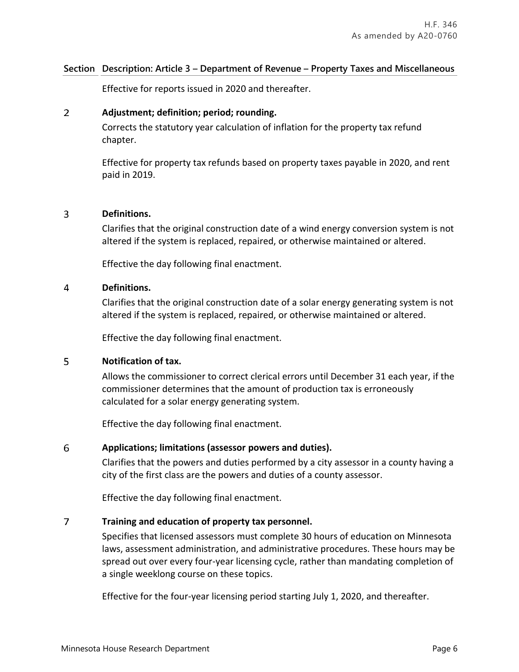## **Section Description: Article 3 – Department of Revenue – Property Taxes and Miscellaneous**

Effective for reports issued in 2020 and thereafter.

### $\overline{2}$ **Adjustment; definition; period; rounding.**

Corrects the statutory year calculation of inflation for the property tax refund chapter.

Effective for property tax refunds based on property taxes payable in 2020, and rent paid in 2019.

### 3 **Definitions.**

Clarifies that the original construction date of a wind energy conversion system is not altered if the system is replaced, repaired, or otherwise maintained or altered.

Effective the day following final enactment.

### 4 **Definitions.**

Clarifies that the original construction date of a solar energy generating system is not altered if the system is replaced, repaired, or otherwise maintained or altered.

Effective the day following final enactment.

### 5 **Notification of tax.**

Allows the commissioner to correct clerical errors until December 31 each year, if the commissioner determines that the amount of production tax is erroneously calculated for a solar energy generating system.

Effective the day following final enactment.

### 6 **Applications; limitations (assessor powers and duties).**

Clarifies that the powers and duties performed by a city assessor in a county having a city of the first class are the powers and duties of a county assessor.

Effective the day following final enactment.

### $\overline{7}$ **Training and education of property tax personnel.**

Specifies that licensed assessors must complete 30 hours of education on Minnesota laws, assessment administration, and administrative procedures. These hours may be spread out over every four-year licensing cycle, rather than mandating completion of a single weeklong course on these topics.

Effective for the four-year licensing period starting July 1, 2020, and thereafter.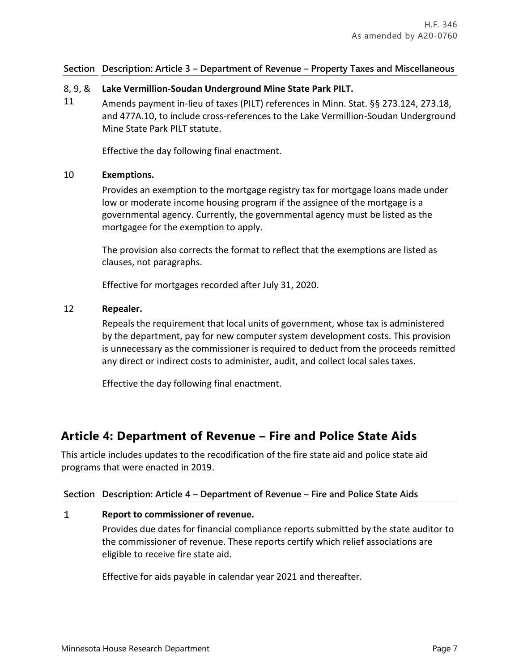## **Section Description: Article 3 – Department of Revenue – Property Taxes and Miscellaneous**

### 8, 9, & **Lake Vermillion-Soudan Underground Mine State Park PILT.**

11 Amends payment in-lieu of taxes (PILT) references in Minn. Stat. §§ 273.124, 273.18, and 477A.10, to include cross-references to the Lake Vermillion-Soudan Underground Mine State Park PILT statute.

Effective the day following final enactment.

## 10 **Exemptions.**

Provides an exemption to the mortgage registry tax for mortgage loans made under low or moderate income housing program if the assignee of the mortgage is a governmental agency. Currently, the governmental agency must be listed as the mortgagee for the exemption to apply.

The provision also corrects the format to reflect that the exemptions are listed as clauses, not paragraphs.

Effective for mortgages recorded after July 31, 2020.

## 12 **Repealer.**

Repeals the requirement that local units of government, whose tax is administered by the department, pay for new computer system development costs. This provision is unnecessary as the commissioner is required to deduct from the proceeds remitted any direct or indirect costs to administer, audit, and collect local sales taxes.

Effective the day following final enactment.

## <span id="page-6-0"></span>**Article 4: Department of Revenue – Fire and Police State Aids**

This article includes updates to the recodification of the fire state aid and police state aid programs that were enacted in 2019.

## **Section Description: Article 4 – Department of Revenue – Fire and Police State Aids**

#### $\mathbf{1}$ **Report to commissioner of revenue.**

Provides due dates for financial compliance reports submitted by the state auditor to the commissioner of revenue. These reports certify which relief associations are eligible to receive fire state aid.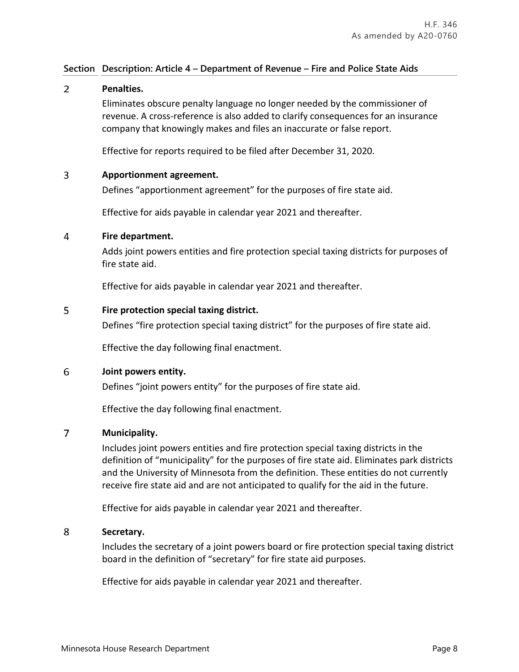### $\overline{2}$ **Penalties.**

Eliminates obscure penalty language no longer needed by the commissioner of revenue. A cross-reference is also added to clarify consequences for an insurance company that knowingly makes and files an inaccurate or false report.

Effective for reports required to be filed after December 31, 2020.

### 3 **Apportionment agreement.**

Defines "apportionment agreement" for the purposes of fire state aid.

Effective for aids payable in calendar year 2021 and thereafter.

### 4 **Fire department.**

Adds joint powers entities and fire protection special taxing districts for purposes of fire state aid.

Effective for aids payable in calendar year 2021 and thereafter.

### 5 **Fire protection special taxing district.**

Defines "fire protection special taxing district" for the purposes of fire state aid.

Effective the day following final enactment.

### 6 **Joint powers entity.**

Defines "joint powers entity" for the purposes of fire state aid.

Effective the day following final enactment.

### $\overline{7}$ **Municipality.**

Includes joint powers entities and fire protection special taxing districts in the definition of "municipality" for the purposes of fire state aid. Eliminates park districts and the University of Minnesota from the definition. These entities do not currently receive fire state aid and are not anticipated to qualify for the aid in the future.

Effective for aids payable in calendar year 2021 and thereafter.

### 8 **Secretary.**

Includes the secretary of a joint powers board or fire protection special taxing district board in the definition of "secretary" for fire state aid purposes.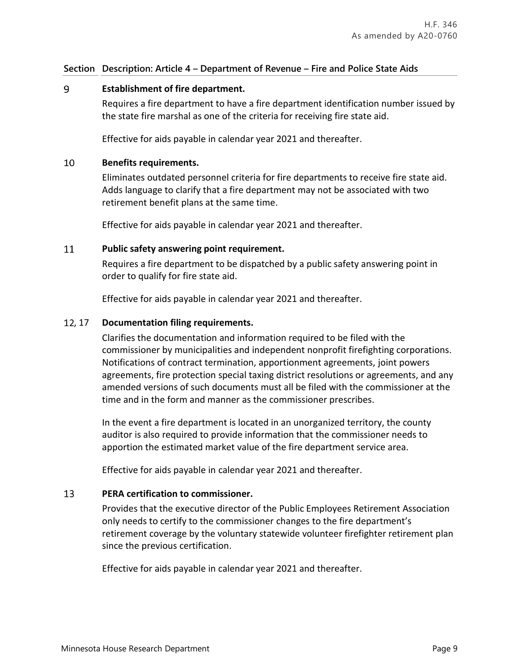### 9 **Establishment of fire department.**

Requires a fire department to have a fire department identification number issued by the state fire marshal as one of the criteria for receiving fire state aid.

Effective for aids payable in calendar year 2021 and thereafter.

#### 10 **Benefits requirements.**

Eliminates outdated personnel criteria for fire departments to receive fire state aid. Adds language to clarify that a fire department may not be associated with two retirement benefit plans at the same time.

Effective for aids payable in calendar year 2021 and thereafter.

### 11 **Public safety answering point requirement.**

Requires a fire department to be dispatched by a public safety answering point in order to qualify for fire state aid.

Effective for aids payable in calendar year 2021 and thereafter.

## , 17 **Documentation filing requirements.**

Clarifies the documentation and information required to be filed with the commissioner by municipalities and independent nonprofit firefighting corporations. Notifications of contract termination, apportionment agreements, joint powers agreements, fire protection special taxing district resolutions or agreements, and any amended versions of such documents must all be filed with the commissioner at the time and in the form and manner as the commissioner prescribes.

In the event a fire department is located in an unorganized territory, the county auditor is also required to provide information that the commissioner needs to apportion the estimated market value of the fire department service area.

Effective for aids payable in calendar year 2021 and thereafter.

#### 13 **PERA certification to commissioner.**

Provides that the executive director of the Public Employees Retirement Association only needs to certify to the commissioner changes to the fire department's retirement coverage by the voluntary statewide volunteer firefighter retirement plan since the previous certification.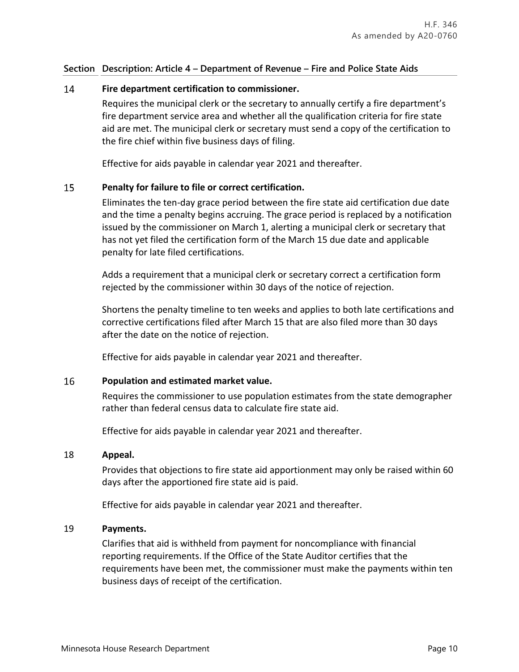### 14 **Fire department certification to commissioner.**

Requires the municipal clerk or the secretary to annually certify a fire department's fire department service area and whether all the qualification criteria for fire state aid are met. The municipal clerk or secretary must send a copy of the certification to the fire chief within five business days of filing.

Effective for aids payable in calendar year 2021 and thereafter.

### 15 **Penalty for failure to file or correct certification.**

Eliminates the ten-day grace period between the fire state aid certification due date and the time a penalty begins accruing. The grace period is replaced by a notification issued by the commissioner on March 1, alerting a municipal clerk or secretary that has not yet filed the certification form of the March 15 due date and applicable penalty for late filed certifications.

Adds a requirement that a municipal clerk or secretary correct a certification form rejected by the commissioner within 30 days of the notice of rejection.

Shortens the penalty timeline to ten weeks and applies to both late certifications and corrective certifications filed after March 15 that are also filed more than 30 days after the date on the notice of rejection.

Effective for aids payable in calendar year 2021 and thereafter.

#### 16 **Population and estimated market value.**

Requires the commissioner to use population estimates from the state demographer rather than federal census data to calculate fire state aid.

Effective for aids payable in calendar year 2021 and thereafter.

## 18 **Appeal.**

Provides that objections to fire state aid apportionment may only be raised within 60 days after the apportioned fire state aid is paid.

Effective for aids payable in calendar year 2021 and thereafter.

## 19 **Payments.**

Clarifies that aid is withheld from payment for noncompliance with financial reporting requirements. If the Office of the State Auditor certifies that the requirements have been met, the commissioner must make the payments within ten business days of receipt of the certification.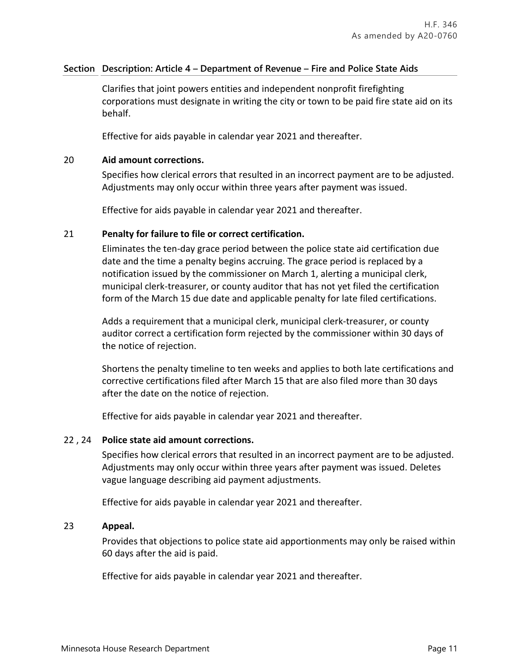Clarifies that joint powers entities and independent nonprofit firefighting corporations must designate in writing the city or town to be paid fire state aid on its behalf.

Effective for aids payable in calendar year 2021 and thereafter.

## 20 **Aid amount corrections.**

Specifies how clerical errors that resulted in an incorrect payment are to be adjusted. Adjustments may only occur within three years after payment was issued.

Effective for aids payable in calendar year 2021 and thereafter.

## 21 **Penalty for failure to file or correct certification.**

Eliminates the ten-day grace period between the police state aid certification due date and the time a penalty begins accruing. The grace period is replaced by a notification issued by the commissioner on March 1, alerting a municipal clerk, municipal clerk-treasurer, or county auditor that has not yet filed the certification form of the March 15 due date and applicable penalty for late filed certifications.

Adds a requirement that a municipal clerk, municipal clerk-treasurer, or county auditor correct a certification form rejected by the commissioner within 30 days of the notice of rejection.

Shortens the penalty timeline to ten weeks and applies to both late certifications and corrective certifications filed after March 15 that are also filed more than 30 days after the date on the notice of rejection.

Effective for aids payable in calendar year 2021 and thereafter.

## 22 , 24 **Police state aid amount corrections.**

Specifies how clerical errors that resulted in an incorrect payment are to be adjusted. Adjustments may only occur within three years after payment was issued. Deletes vague language describing aid payment adjustments.

Effective for aids payable in calendar year 2021 and thereafter.

## 23 **Appeal.**

Provides that objections to police state aid apportionments may only be raised within 60 days after the aid is paid.